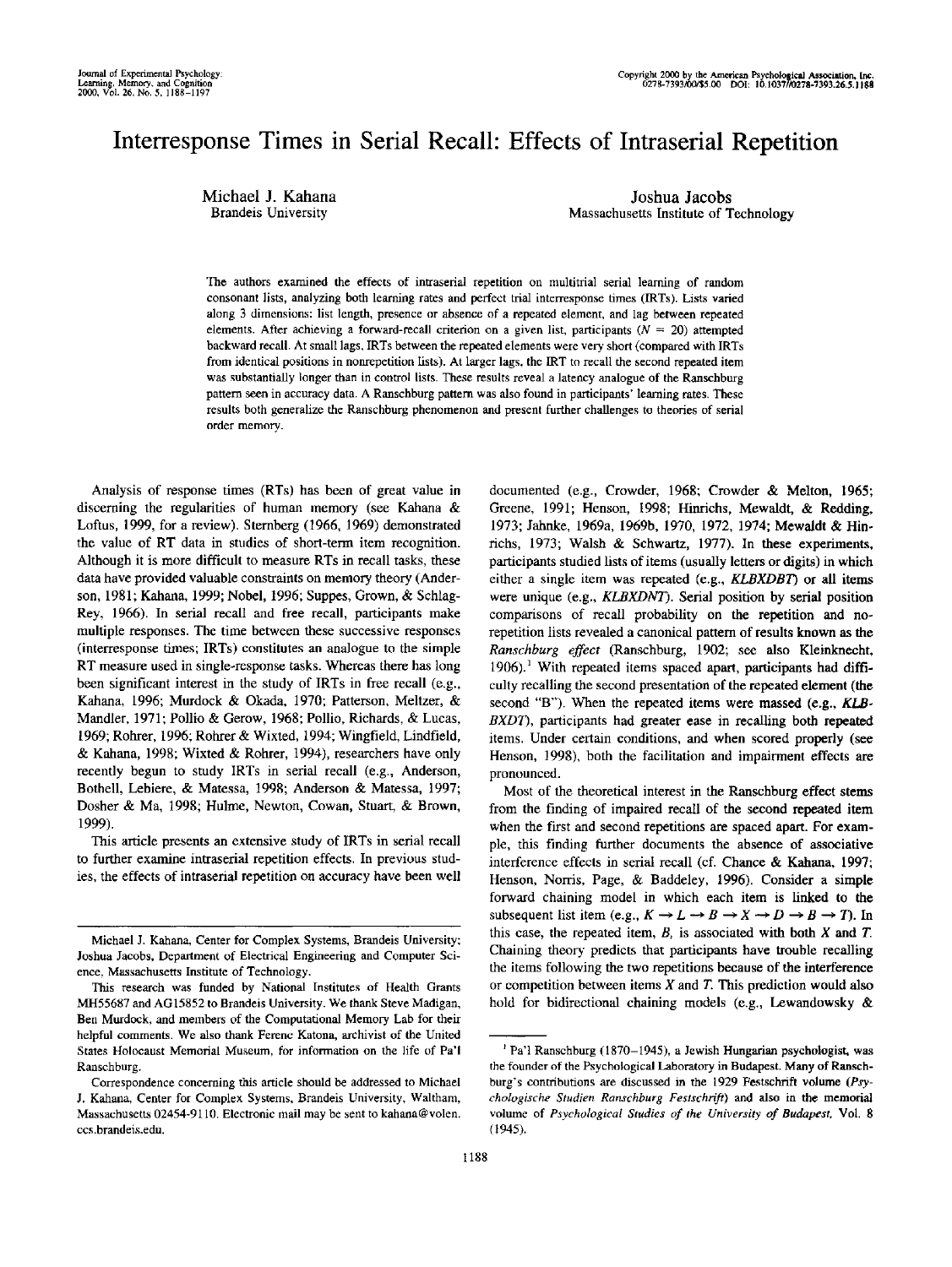# Interresponse Times in Serial Recall: Effects of Intraserial Repetition

Michael J. Kahana Brandeis University

Joshua Jacobs Massachusetts Institute of Technology

The authors examined the effects of intraserial repetition on multitrial serial learning of random consonant lists, analyzing both learning rates and perfect trial inten-esponse times (IRTs). Lists varied along 3 dimensions: list length, presence or absence of a repeated element, and lag between repeated elements. After achieving a forward-recall criterion on a given list, participants  $(N = 20)$  attempted backward recall. At small lags, IRTs between the repeated elements were very short (compared with IRTs from identical positions in nonrepetition lists). At larger lags, the IRT to recall the second repeated item was substantially longer than in control lists. These results reveal a latency analogue of the Ranschburg pattern seen in accuracy data. A Ranschburg pattern was also found in participants' learning rates. These results both generalize the Ranschburg phenomenon and present further challenges to theories of serial order memory.

Analysis of response times (RTs) has been of great value in discerning the regularities of human memory (see Kahana & Loftus, 1999, for a review). Sternberg (1966, 1969) demonstrated the value of RT data in studies of short-term item recognition. Although it is more difficult to measure RTs in recall tasks, these data have provided valuable constraints on memory theory (Anderson, 1981; Kahana, 1999; Nobel, 1996; Suppes, Grown, & Schlag-Rey, 1966). In serial recall and free recall, participants make multiple responses. The time between these successive responses (interresponse times; IRTs) constitutes an analogue to the simple RT measure used in single-response tasks. Whereas there has long been significant interest in the study of IRTs in free recall (e.g., Kahana, 1996; Murdock & Okada, 1970; Patterson, Meltzer, & Mandler, 1971; Pollio & Gerow, 1968; Pollio, Richards, & Lucas, 1969; Rohrer, 1996; Rohrer & Wixted, 1994; Wingfield, Undfield, & Kahana, 1998; Wixted & Rohrer, 1994), researchers have only recently begun to study IRTs in serial recall (e.g., Anderson, Bothell, Lebiere, *&* Matessa, 1998; Anderson & Matessa, 1997; Dosher & Ma, 1998; Hulme, Newton, Cowan, Stuart, & Brown, 1999).

This article presents an extensive study of IRTs in serial recall to further examine intraserial repetition effects. In previous studies, the effects of intraserial repetition on accuracy have been well documented (e.g., Crowder, 1968; Crowder & Melton, 1965; Greene, 1991; Henson, 1998; Hinrichs, Mewaldt, & Redding, 1973; Jahnke, 1969a, 1969b, 1970, 1972, 1974; Mewaldt & Hinrichs, 1973; Walsh & Schwartz, 1977). In these experiments, participants studied lists of items (usually letters or digits) in which either a single item was repeated (e.g., *KLBXDBT)* or all items were unique (e.g., *KLBXDNT).* Serial position by serial position comparisons of recall probability on the repetition and norepetition lists revealed a canonical pattern of results known as the *Ranschburg effect* (Ranschburg, 1902; see also Kleinknecht,  $1906$ ).<sup>1</sup> With repeated items spaced apart, participants had difficulty recalling the second presentation of the repeated element (the second "B"). When the repeated items were massed (e.g., *KLB-BXDT),* participants had greater ease in recalling both repeated items. Under certain conditions, and when scored properly (see Henson, 1998), both the facilitation and impairment effects are pronounced.

Most of the theoretical interest in the Ranschburg effect stems from the finding of impaired recall of the second repeated item when the first and second repetitions are spaced apart. For example, this finding further documents the absence of associative interference effects in serial recall (cf. Chance *&* Kahana, 1997; Henson, Norris, Page, & Baddeley, 1996). Consider a simple forward chaining model in which each item is linked to the subsequent list item (e.g.,  $K \to L \to B \to X \to D \to B \to T$ ). In this case, the repeated item, *B,* is associated with both *X* and *T.* Chaining theory predicts that participants have trouble recalling the items following the two repetitions because of the interference or competition between items *X* and *T.* This prediction would also hold for bidirectional chaining models (e.g., Lewandowsky &

Michael J. Kahana, Center for Complex Systems, Brandeis University; Joshua Jacobs, Department of Electrical Engineering and Computer Science, Massachusetts Institute of Technology.

This research was funded by National Institutes of Health Grants MH55687 and AG15852 to Brandeis University. We thank Steve Madigan, Ben Murdock, and members of the Computational Memory Lab for their helpful comments. We also thank Ferenc Katona, archivist of the United States Holocaust Memorial Museum, for information on the life of Pa'l Ranschburg.

Correspondence concerning this article should be addressed to Michael J. Kahana, Center for Complex Systems, Brandeis University, Waltham, Massachusetts 02454-9110. Electronic mail may be sent to kahana@volen. ccs.brandeis.edu.

<sup>&</sup>lt;sup>1</sup> Pa'l Ranschburg (1870-1945), a Jewish Hungarian psychologist, was the founder of the Psychological Laboratory in Budapest. Many of Ranschburg's contributions are discussed in the 1929 Festschrift volume *(Psychologische Studien Ranschburg Festschrift)* and also in the memorial volume of *Psychological Studies of the University of Budapest,* Vol. 8 (1945).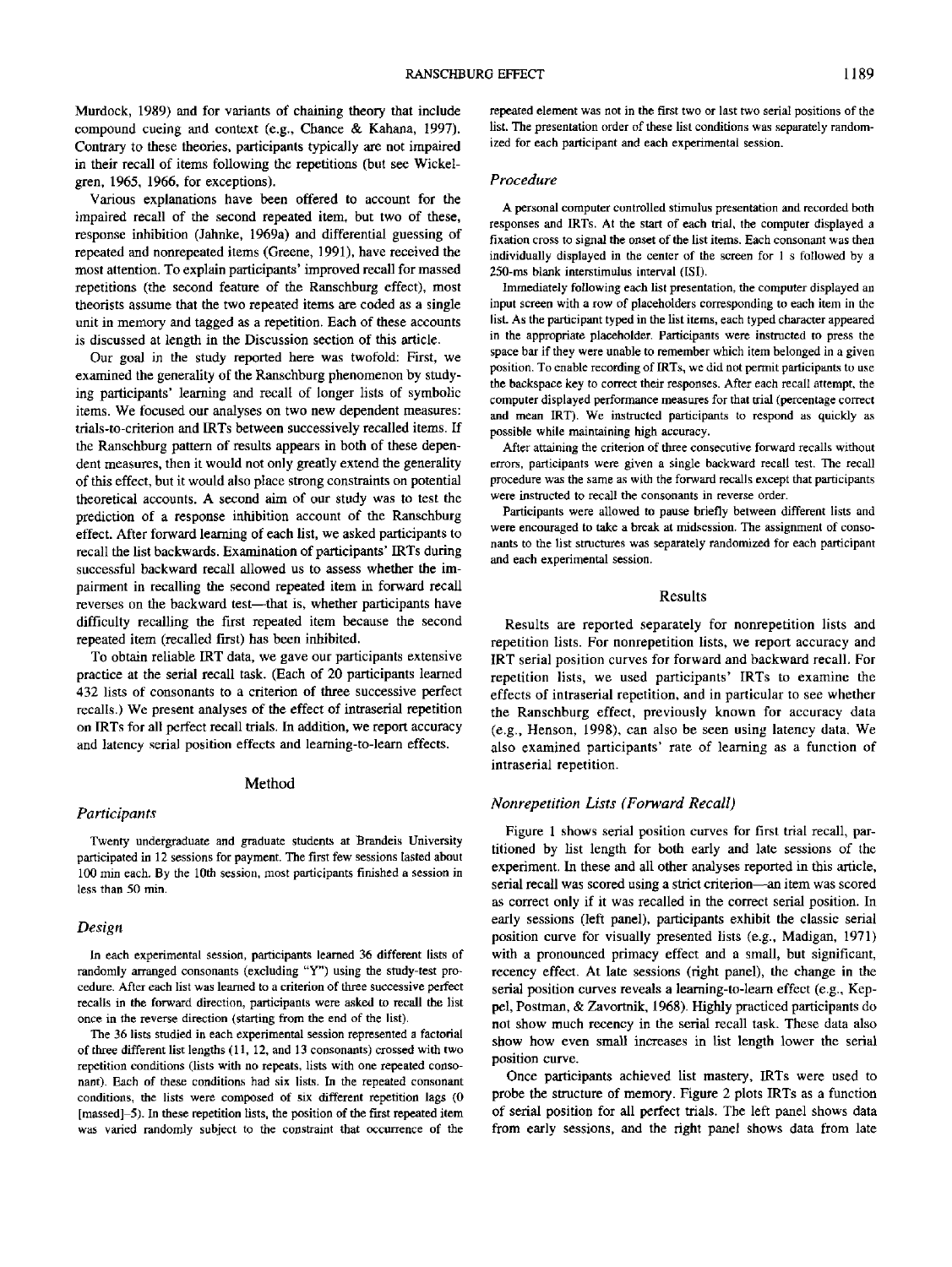Murdock, 1989) and for variants of chaining theory that include compound cueing and context (e.g., Chance & Kahana, 1997). Contrary to these theories, participants typically are not impaired in their recall of items following the repetitions (but see Wickelgren, 1965, 1966, for exceptions).

Various explanations have been offered to account for the impaired recall of the second repeated item, but two of these, response inhibition (Jahnke, 1969a) and differential guessing of repeated and nonrepeated items (Greene, 1991), have received the most attention. To explain participants' improved recall for massed repetitions (the second feature of the Ranschburg effect), most theorists assume that the two repeated items are coded as a single unit in memory and tagged as a repetition. Each of these accounts is discussed at length in the Discussion section of this article.

Our goal in the study reported here was twofold: First, we examined the generality of the Ranschburg phenomenon by studying participants' learning and recall of longer lists of symbolic items. We focused our analyses on two new dependent measures: trials-to-criterion and IRTs between successively recalled items. If the Ranschburg pattern of results appears in both of these dependent measures, then it would not only greatly extend the generality of this effect, but it would also place strong constraints on potential theoretical accounts. A second aim of our study was to test the prediction of a response inhibition account of the Ranschburg effect. After forward learning of each list, we asked participants to recall the list backwards. Examination of participants' IRTs during successful backward recall allowed us to assess whether the impairment in recalling the second repeated item in forward recall reverses on the backward test—that is, whether participants have difficulty recalling the first repeated item because the second repeated item (recalled first) has been inhibited.

To obtain reliable IRT data, we gave our participants extensive practice at the serial recall task. (Each of 20 participants learned 432 lists of consonants to a criterion of three successive perfect recalls.) We present analyses of the effect of intraserial repetition on IRTs for all perfect recall trials. In addition, we report accuracy and latency serial position effects and learning-to-learn effects.

### Method

#### *Participants*

Twenty undergraduate and graduate students at Brandeis University participated in 12 sessions for payment. The first few sessions lasted about 100 min each. By the 10th session, most participants finished a session in less than 50 min.

#### *Design*

In each experimental session, participants learned 36 different lists of randomly arranged consonants (excluding "Y") using the study-test procedure. After each list was learned to a criterion of three successive perfect recalls in the forward direction, participants were asked to recall the list once in the reverse direction (starting from the end of the list).

The 36 lists studied in each experimental session represented a factorial of three different list lengths (11, 12, and 13 consonants) crossed with two repetition conditions (lists with no repeats, lists with one repeated consonant). Each of these conditions had six lists. In the repeated consonant conditions, the lists were composed of six different repetition lags (0 [massed]-5). In these repetition lists, the position of the first repeated item was varied randomly subject to the constraint that occurrence of the

repeated element was not in the first two or last two serial positions of the list. The presentation order of these list conditions was separately randomized for each participant and each experimental session.

#### *Procedure*

A personal computer controlled stimulus presentation and recorded both responses and IRTs. At the start of each trial, the computer displayed a fixation cross to signal the onset of the list items. Each consonant was then individually displayed in the center of the screen for 1 s followed by a 250-ms blank interstimulus interval (ISI).

Immediately following each list presentation, the computer displayed an input screen with a row of placeholders corresponding to each item in the list. As the participant typed in the list items, each typed character appeared in the appropriate placeholder. Participants were instructed to press the space bar if they were unable to remember which item belonged in a given position. To enable recording of IRTs, we did not permit participants to use the backspace key to correct their responses. After each recall attempt, the computer displayed performance measures for that trial (percentage correct and mean IRT). We instructed participants to respond as quickly as possible while maintaining high accuracy.

After attaining the criterion of three consecutive forward recalls without errors, participants were given a single backward recall test. The recall procedure was the same as with the forward recalls except that participants were instructed to recall the consonants in reverse order.

Participants were allowed to pause briefly between different lists and were encouraged to take a break at midsession. The assignment of consonants to the list structures was separately randomized for each participant and each experimental session.

#### Results

Results are reported separately for nonrepetition lists and repetition lists. For nonrepetition lists, we report accuracy and IRT serial position curves for forward and backward recall. For repetition lists, we used participants' IRTs to examine the effects of intraserial repetition, and in particular to see whether the Ranschburg effect, previously known for accuracy data (e.g., Henson, 1998), can also be seen using latency data. We also examined participants' rate of learning as a function of intraserial repetition.

# *Nonrepetition Lists (Forward Recall)*

Figure 1 shows serial position curves for first trial recall, partitioned by list length for both early and late sessions of the experiment. In these and all other analyses reported in this article, serial recall was scored using a strict criterion—an item was scored as correct only if it was recalled in the correct serial position. In early sessions (left panel), participants exhibit the classic serial position curve for visually presented lists (e.g., Madigan, 1971) with a pronounced primacy effect and a small, but significant, recency effect. At late sessions (right panel), the change in the serial position curves reveals a learning-to-leam effect (e.g., Keppel, Postman, & Zavortnik, 1968). Highly practiced participants do not show much recency in the serial recall task. These data also show how even small increases in list length lower the serial position curve.

Once participants achieved list mastery, IRTs were used to probe the structure of memory. Figure 2 plots IRTs as a function of serial position for all perfect trials. The left panel shows data from early sessions, and the right panel shows data from late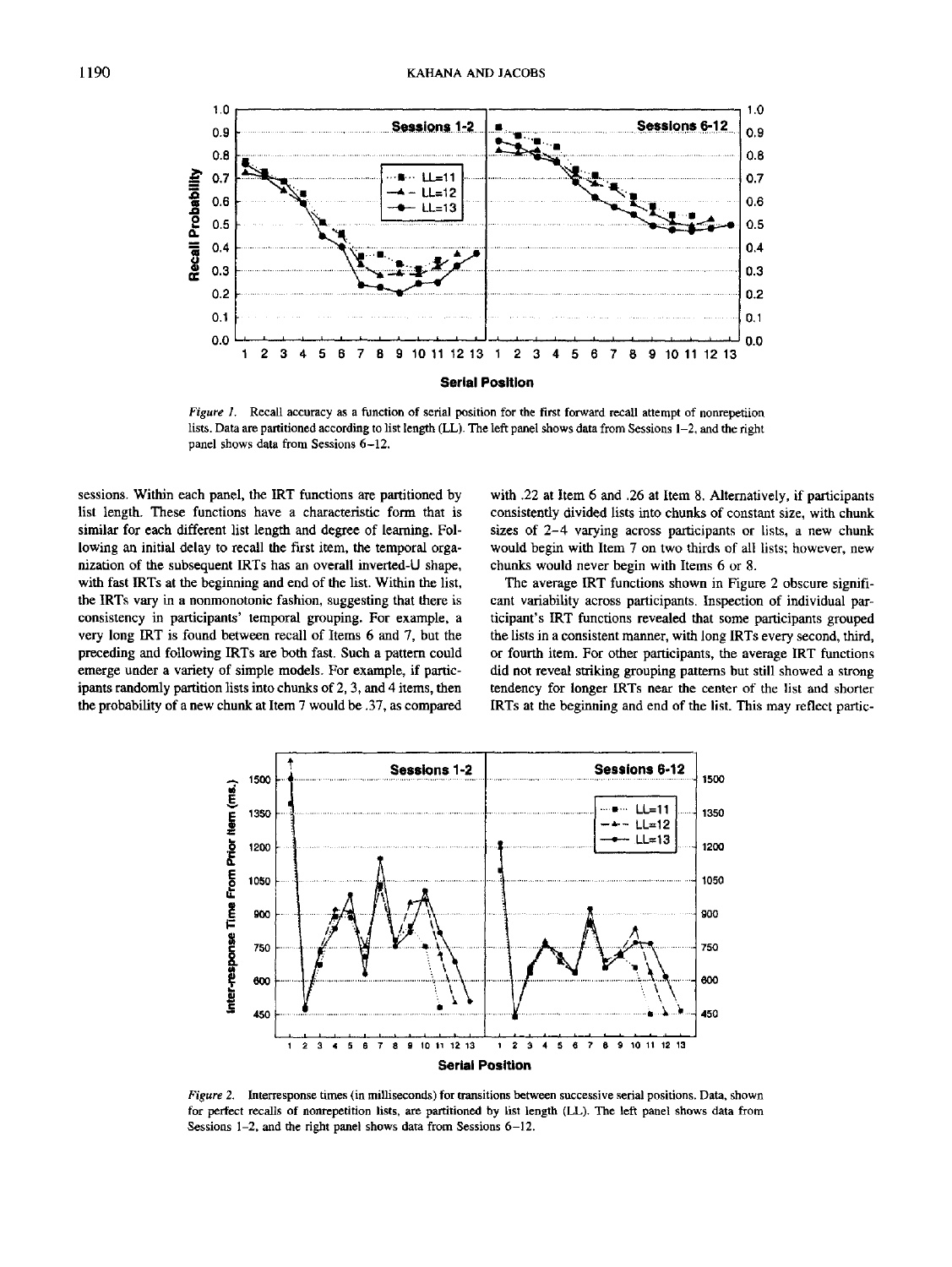

*Figure I,* Recall accuracy as a function of serial position for the first forward recall attempt of nonrepetiion lists. Data are partitioned according to list length (LL). The left panel shows data from Sessions 1-2, and the right panel shows data from Sessions 6-12.

sessions. Within each panel, the IRT functions are partitioned by list length. These functions have a characteristic form that is similar for each different list length and degree of learning. Following an initial delay to recall the first item, the temporal organization of the subsequent IRTs has an overall inverted-U shape, with fast IRTs at the beginning and end of the list. Within the list, the IRTs vary in a nonmonotonic fashion, suggesting that there is consistency in participants' temporal grouping. For example, a very long IRT is found between recall of Items 6 and 7, but the preceding and following IRTs are both fast. Such a pattern could emerge under a variety of simple models. For example, if participants randomly partition lists into chunks of 2, 3, and 4 items, then the probability of a new chunk at Item 7 would be .37, as compared

with .22 at Item 6 and .26 at Item 8. Alternatively, if participants consistently divided lists into chunks of constant size, with chunk sizes of 2-4 varying across participants or lists, a new chunk would begin with Item 7 on two thirds of all lists; however, new chunks would never begin with Items 6 or 8.

The average IRT functions shown in Figure 2 obscure significant variability across participants. Inspection of individual participant's IRT functions revealed that some participants grouped the lists in a consistent manner, with long IRTs every second, third, or fourth item. For other participants, the average IRT functions did not reveal striking grouping patterns but still showed a strong tendency for longer IRTs near the center of the list and shorter IRTs at the beginning and end of the list. This may reflect partic-



*Figure 2.* Interresponse times (in milliseconds) for transitions between successive serial positions. Data, shown for perfect recalls of nonrepetition lists, are partitioned by list length (LL). The left panel shows data from Sessions 1-2, and the right panel shows data from Sessions 6-12.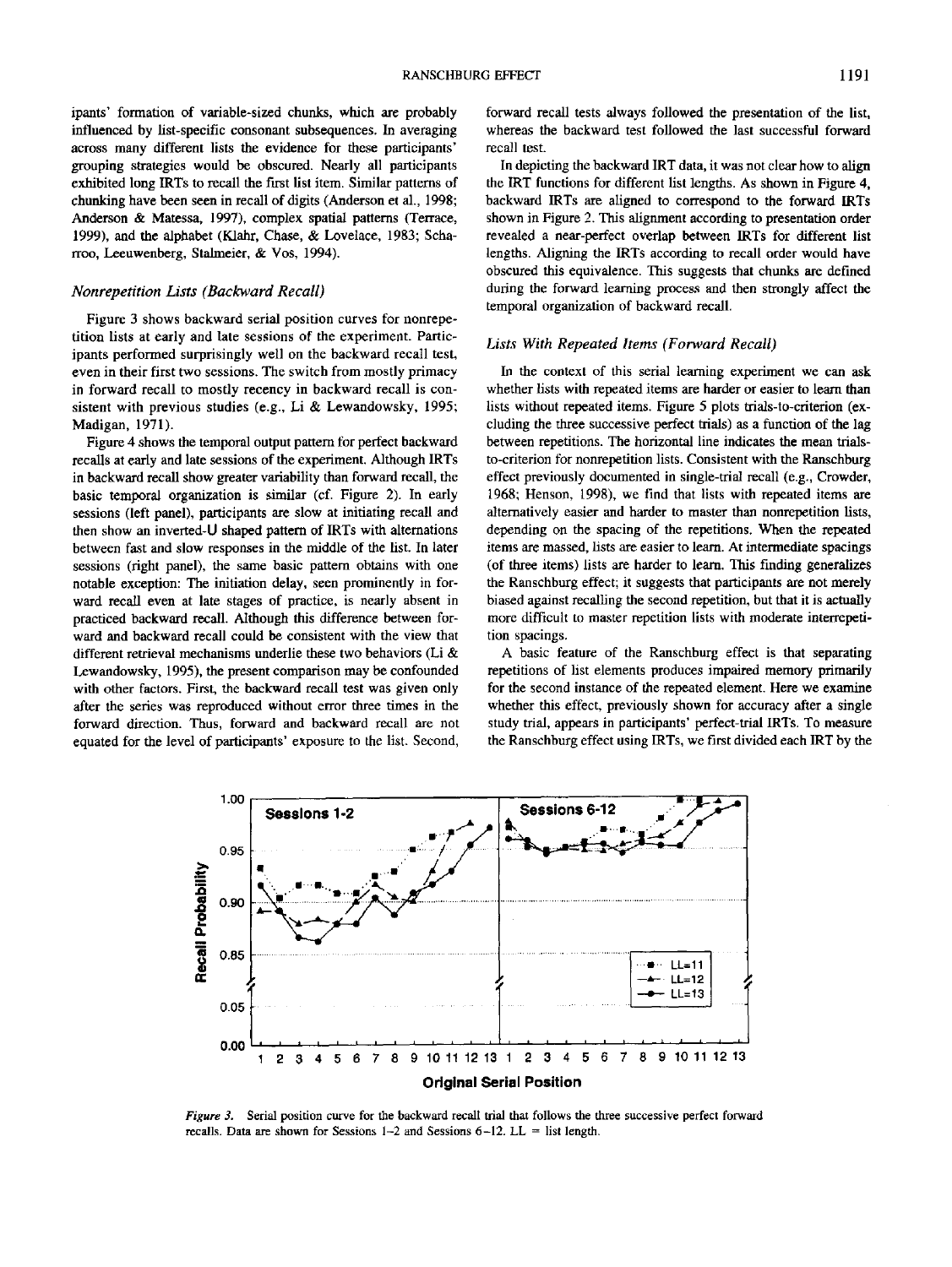ipants' formation of variable-sized chunks, which are probably influenced by list-specific consonant subsequences. In averaging across many different lists the evidence for these participants' grouping strategies would be obscured. Nearly all participants exhibited long IRTs to recall the first list item. Similar patterns of chunking have been seen in recall of digits (Anderson et al., 1998; Anderson & Matessa, 1997), complex spatial patterns (Terrace, 1999), and the alphabet (Klahr, Chase, & Lovelace, 1983; Scharroo, Leeuwenberg, Stahneier, & Vos, 1994).

#### *Nonrepetition Lists (Backward Recall)*

Figure 3 shows backward serial position curves for nonrepetition lists at early and late sessions of the experiment. Participants performed surprisingly well on the backward recall test, even in their first two sessions. The switch from mostly primacy in forward recall to mostly recency in backward recall is consistent with previous studies (e.g., Li & Lewandowsky, 1995; Madigan, 1971).

Figure 4 shows the temporal output pattern for perfect backward recalls at early and late sessions of the experiment. Although IRTs in backward recall show greater variability than forward recall, the basic temporal organization is similar (cf. Figure 2). In early sessions (left panel), participants are slow at initiating recall and then show an inverted-U shaped pattern of IRTs with alternations between fast and slow responses in the middle of the list. In later sessions (right panel), the same basic pattern obtains with one notable exception: The initiation delay, seen prominently in forward recall even at late stages of practice, is nearly absent in practiced backward recall. Although this difference between forward and backward recall could be consistent with the view that different retrieval mechanisms underlie these two behaviors (Li & Lewandowsky, 1995), the present comparison may be confounded with other factors. First, the backward recall test was given only after the series was reproduced without error three times in the forward direction. Thus, forward and backward recall are not equated for the level of participants' exposure to the list. Second,

forward recall tests always followed the presentation of the list, whereas the backward test followed the last successful forward recall test.

In depicting the backward IRT data, it was not clear how to align the IRT functions for different list lengths. As shown in Figure 4, backward IRTs are aligned to correspond to the forward IRTs shown in Figure 2. This alignment according to presentation order revealed a near-perfect overlap between IRTs for different list lengths. Aligning the IRTs according to recall order would have obscured this equivalence. This suggests that chunks are defined during the forward learning process and then strongly affect the temporal organization of backward recall.

#### *lists With Repeated Items (Forward Recall)*

In the context of this serial learning experiment we can ask whether lists with repeated items are harder or easier to learn than lists without repeated items. Figure 5 plots trials-to-criterion (excluding the three successive perfect trials) as a function of the lag between repetitions. The horizontal line indicates the mean trialsto-criterion for nonrepetition lists. Consistent with the Ranschburg effect previously documented in single-trial recall (e.g., Crowder, 1968; Henson, 1998), we find that lists with repeated items are alternatively easier and harder to master than nonrepetition lists, depending on the spacing of the repetitions. When the repeated items are massed, lists are easier to learn. At intermediate spacings (of three items) lists are harder to learn. This finding generalizes the Ranschburg effect; it suggests that participants are not merely biased against recalling the second repetition, but that it is actually more difficult to master repetition lists with moderate interrepetition spacings.

A basic feature of the Ranschburg effect is that separating repetitions of list elements produces impaired memory primarily for the second instance of the repeated element. Here we examine whether this effect, previously shown for accuracy after a single study trial, appears in participants' perfect-trial IRTs. To measure the Ranschburg effect using IRTs, we first divided each IRT by the



*Figure 3.* Serial position curve for the backward recall trial that follows the three successive perfect forward recalls. Data are shown for Sessions  $1-2$  and Sessions  $6-12$ . LL = list length.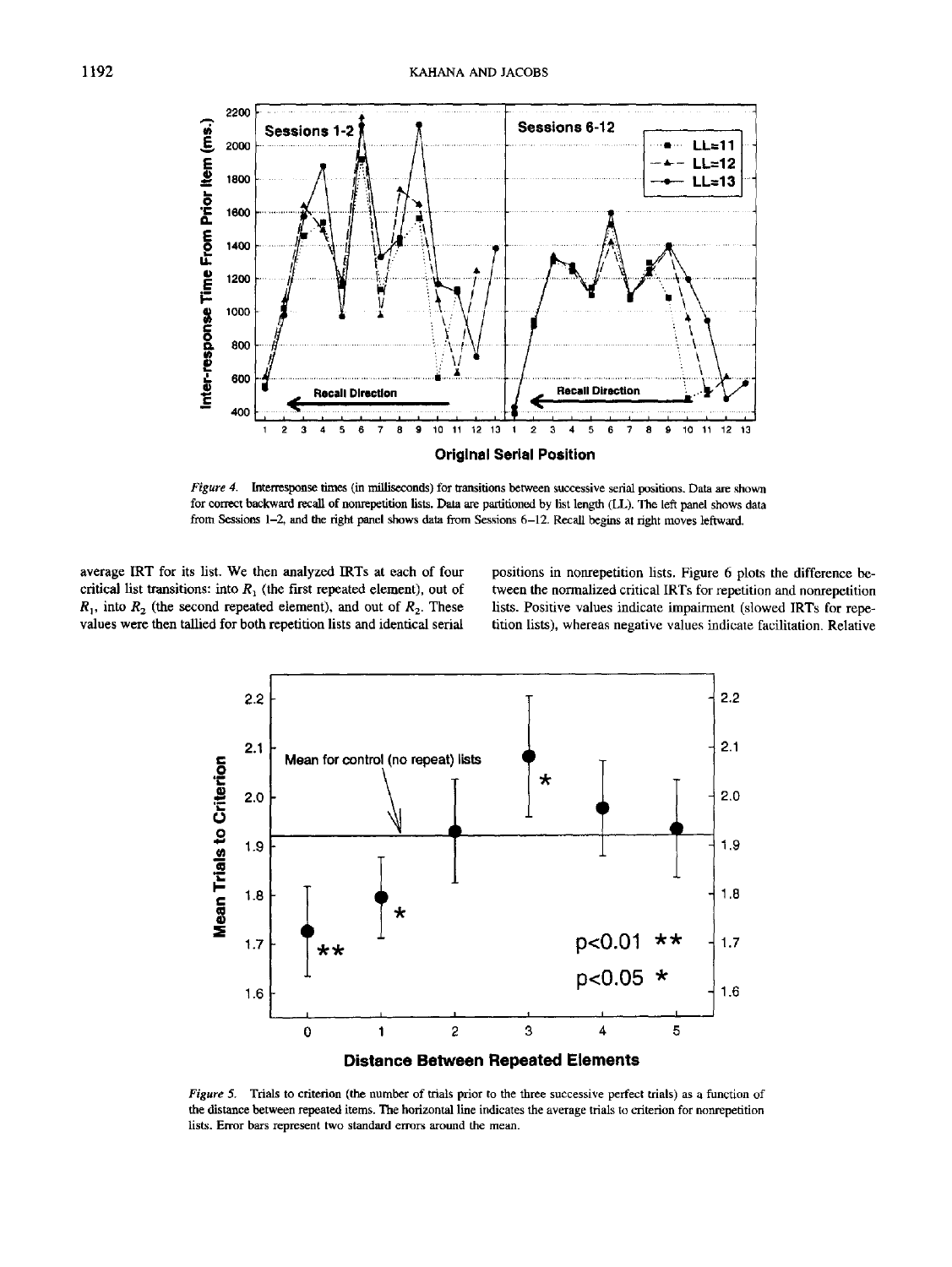

*Figure 4.* Interresponse times (in milliseconds) tor transitions between successive serial positions. Data are shown for correct backward recall of nonrepetition lists. Data are partitioned by list length (LL). The left panel shows data from Sessions 1-2, and the right panel shows data from Sessions 6-12. Recall begins at right moves leftward.

average IRT for its list. We then analyzed IRTs at each of four critical list transitions: into  $R<sub>1</sub>$  (the first repeated element), out of  $R_1$ , into  $R_2$  (the second repeated element), and out of  $R_2$ . These values were then tallied for both repetition lists and identical serial

positions in nonrepetition lists. Figure 6 plots the difference between the normalized critical IRTs for repetition and nonrepetition lists. Positive values indicate impairment (slowed IRTs for repetition lists), whereas negative values indicate facilitation. Relative



*Figure 5.* Trials to criterion (the number of trials prior to the three successive perfect trials) as a function of the distance between repeated items. The horizontal line indicates the average trials to criterion for nonrepetition lists. Error bars represent two standard errors around the mean.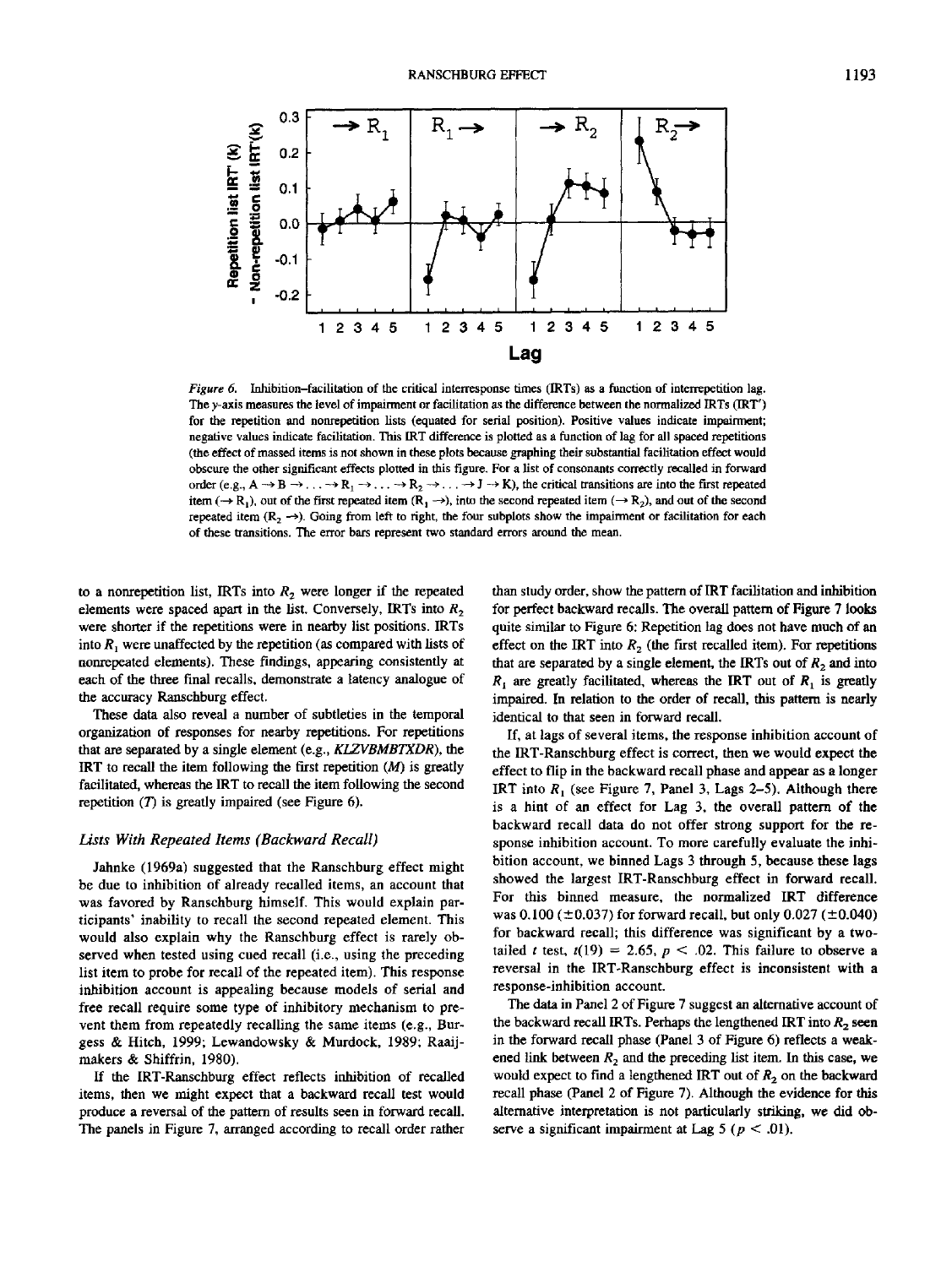

*Figure 6.* Inhibition-facilitation of the critical interresponse times (IRTs) as a function of interrepetition lag. The y-axis measures the level of impairment or facilitation as the difference between the normalized IRTs (IRT') for the repetition and nonrepetition lists (equated for serial position). Positive values indicate impairment; negative values indicate facilitation. This IRT difference is plotted as a function of lag for all spaced repetitions (the effect of massed items is not shown in these plots because graphing their substantial facilitation effect would obscure the other significant effects plotted in this figure. For a list of consonants correctly recalled in forward order (e.g.,  $A \rightarrow B \rightarrow \ldots \rightarrow R_1 \rightarrow \ldots \rightarrow R_2 \rightarrow \ldots \rightarrow J \rightarrow K$ ), the critical transitions are into the first repeated item ( $\rightarrow$  R<sub>1</sub>), out of the first repeated item (R<sub>1</sub>  $\rightarrow$ ), into the second repeated item ( $\rightarrow$  R<sub>2</sub>), and out of the second repeated item  $(R_2 \rightarrow)$ . Going from left to right, the four subplots show the impairment or facilitation for each of these transitions. The error bars represent two standard errors around the mean.

to a nonrepetition list, IRTs into  $R_2$  were longer if the repeated elements were spaced apart in the list. Conversely, IRTs into *R<sup>2</sup>* were shorter if the repetitions were in nearby list positions. IRTs into  $R<sub>1</sub>$  were unaffected by the repetition (as compared with lists of nonrepeated elements). These findings, appearing consistently at each of the three final recalls, demonstrate a latency analogue of the accuracy Ranschburg effect.

These data also reveal a number of subtleties in the temporal organization of responses for nearby repetitions. For repetitions that are separated by a single element (e.g., *KLZVBMBTXDR),* the IRT to recall the item following the first repetition  $(M)$  is greatly facilitated, whereas the IRT to recall the item following the second repetition *(T)* is greatly impaired (see Figure 6).

#### *Lists With Repeated Items (Backward Recall)*

Jahnke (1969a) suggested that the Ranschburg effect might be due to inhibition of already recalled items, an account that was favored by Ranschburg himself. This would explain participants' inability to recall the second repeated element. This would also explain why the Ranschburg effect is rarely observed when tested using cued recall (i.e., using the preceding list item to probe for recall of the repeated item). This response inhibition account is appealing because models of serial and free recall require some type of inhibitory mechanism to prevent them from repeatedly recalling the same items (e.g., Burgess & Hitch, 1999; Lewandowsky & Murdock, 1989; Raaijmakers & Shiffrin, 1980).

If the IRT-Ranschburg effect reflects inhibition of recalled items, then we might expect that a backward recall test would produce a reversal of the pattern of results seen in forward recall. The panels in Figure 7, arranged according to recall order rather

than study order, show the pattern of IRT facilitation and inhibition for perfect backward recalls. The overall pattern of Figure 7 looks quite similar to Figure 6: Repetition lag does not have much of an effect on the IRT into  $R<sub>2</sub>$  (the first recalled item). For repetitions that are separated by a single element, the IRTs out of  $R<sub>2</sub>$  and into  $R_i$  are greatly facilitated, whereas the IRT out of  $R_i$  is greatly impaired. In relation to the order of recall, this pattern is nearly identical to that seen in forward recall.

If, at lags of several items, the response inhibition account of the IRT-Ranschburg effect is correct, then we would expect the effect to flip in the backward recall phase and appear as a longer IRT into  $R_1$  (see Figure 7, Panel 3, Lags 2-5). Although there is a hint of an effect for Lag 3, the overall pattern of the backward recall data do not offer strong support for the response inhibition account. To more carefully evaluate the inhibition account, we binned Lags 3 through 5, because these lags showed the largest IRT-Ranschburg effect in forward recall. For this binned measure, the normalized IRT difference was  $0.100$  ( $\pm 0.037$ ) for forward recall, but only  $0.027$  ( $\pm 0.040$ ) for backward recall; this difference was significant by a twotailed *t* test,  $t(19) = 2.65$ ,  $p < .02$ . This failure to observe a reversal in the IRT-Ranschburg effect is inconsistent with a response-inhibition account.

The data in Panel 2 of Figure 7 suggest an alternative account of the backward recall IRTs. Perhaps the lengthened IRT into  $R<sub>2</sub>$  seen in the forward recall phase (Panel 3 of Figure 6) reflects a weakened link between  $R_2$  and the preceding list item. In this case, we would expect to find a lengthened IRT out of *R2* on the backward recall phase (Panel 2 of Figure 7). Although the evidence for this alternative interpretation is not particularly striking, we did observe a significant impairment at Lag 5 *(p <* .01).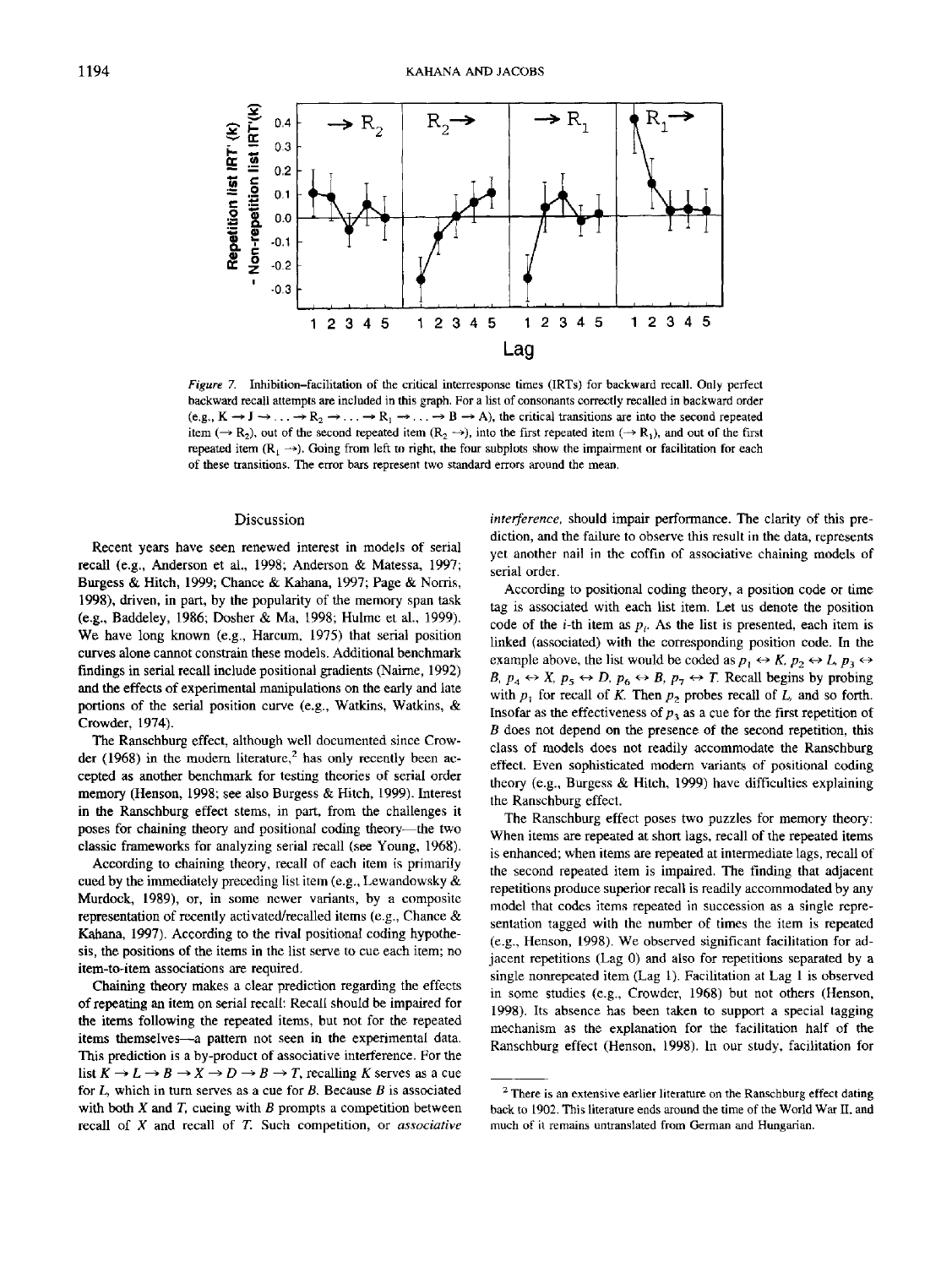

*Figure* 7. Inhibition-facilitation of the critical interresponse times (IRTs) for backward recall. Only perfect backward recall attempts are included in this graph. For a list of consonants correctly recalled in backward order (e.g.,  $K \to J \to \ldots \to R_2 \to \ldots \to R_1 \to \ldots \to B \to A$ ), the critical transitions are into the second repeated item ( $\rightarrow$  R<sub>2</sub>), out of the second repeated item (R<sub>2</sub>  $\rightarrow$ ), into the first repeated item ( $\rightarrow$  R<sub>1</sub>), and out of the first repeated item  $(R_1 \rightarrow)$ . Going from left to right, the four subplots show the impairment or facilitation for each of these transitions. The error bars represent two standard errors around the mean.

#### Discussion

Recent years have seen renewed interest in models of serial recall (e.g., Anderson et al., 1998; Anderson & Matessa, 1997; Burgess & Hitch, 1999; Chance & Kahana, 1997; Page & Norris, 1998), driven, in part, by the popularity of the memory span task (e.g., Baddeley, 1986; Dosher & Ma, 1998; Hulme et al., 1999). We have long known (e.g., Harcum, 1975) that serial position curves alone cannot constrain these models. Additional benchmark findings in serial recall include positional gradients (Nairne, 1992) and the effects of experimental manipulations on the early and late portions of the serial position curve (e.g., Watkins, Watkins, & Crowder, 1974).

The Ranschburg effect, although well documented since Crowder (1968) in the modern literature,<sup>2</sup> has only recently been accepted as another benchmark for testing theories of serial order memory (Henson, 1998; see also Burgess & Hitch, 1999). Interest in the Ranschburg effect stems, in part, from the challenges it poses for chaining theory and positional coding theory—the two classic frameworks for analyzing serial recall (see Young, 1968).

According to chaining theory, recall of each item is primarily cued by the immediately preceding list item (e.g., Lewandowsky & Murdock, 1989), or, in some newer variants, by a composite representation of recently activated/recalled items (e.g., Chance & Kahana, 1997). According to the rival positional coding hypothesis, the positions of the items in the list serve to cue each item; no item-to-item associations are required.

Chaining theory makes a clear prediction regarding the effects of repeating an item on serial recall: Recall should be impaired for the items following the repeated items, but not for the repeated items themselves—a pattern not seen in the experimental data. This prediction is a by-product of associative interference. For the list  $K \to L \to B \to X \to D \to B \to T$ , recalling K serves as a cue for *L,* which in turn serves as a cue for *B.* Because *B* is associated with both *X* and *T,* cueing with *B* prompts a competition between recall of *X* and recall of *T.* Such competition, or *associative* *interference,* should impair performance. The clarity of this prediction, and the failure to observe this result in the data, represents yet another nail in the coffin of associative chaining models of serial order.

According to positional coding theory, a position code or time tag is associated with each list item. Let us denote the position code of the *i*-th item as  $p_i$ . As the list is presented, each item is linked (associated) with the corresponding position code. In the example above, the list would be coded as  $p_1 \leftrightarrow K$ ,  $p_2 \leftrightarrow L$ ,  $p_3 \leftrightarrow$ *B, p<sub>4</sub>*  $\leftrightarrow$  *X, p<sub>5</sub>*  $\leftrightarrow$  *D, p<sub>6</sub>*  $\leftrightarrow$  *B, p<sub>7</sub>*  $\leftrightarrow$  *T.* Recall begins by probing with  $p_1$  for recall of K. Then  $p_2$  probes recall of L, and so forth. Insofar as the effectiveness of  $p_3$  as a cue for the first repetition of *B* does not depend on the presence of the second repetition, this class of models does not readily accommodate the Ranschburg effect. Even sophisticated modern variants of positional coding theory (e.g., Burgess & Hitch, 1999) have difficulties explaining the Ranschburg effect.

The Ranschburg effect poses two puzzles for memory theory: When items are repeated at short lags, recall of the repeated items is enhanced; when items are repeated at intermediate lags, recall of the second repeated item is impaired. The finding that adjacent repetitions produce superior recall is readily accommodated by any model that codes items repeated in succession as a single representation tagged with the number of times the item is repeated (e.g., Henson, 1998). We observed significant facilitation for adjacent repetitions (Lag 0) and also for repetitions separated by a single nonrepeated item (Lag 1). Facilitation at Lag 1 is observed in some studies (e.g., Crowder, 1968) but not others (Henson, 1998). Its absence has been taken to support a special tagging mechanism as the explanation for the facilitation half of the Ranschburg effect (Henson. 1998). In our study, facilitation for

 $2$  There is an extensive earlier literature on the Ranschburg effect dating back to 1902. This literature ends around the time of the World War II, and much of it remains untranslated from German and Hungarian.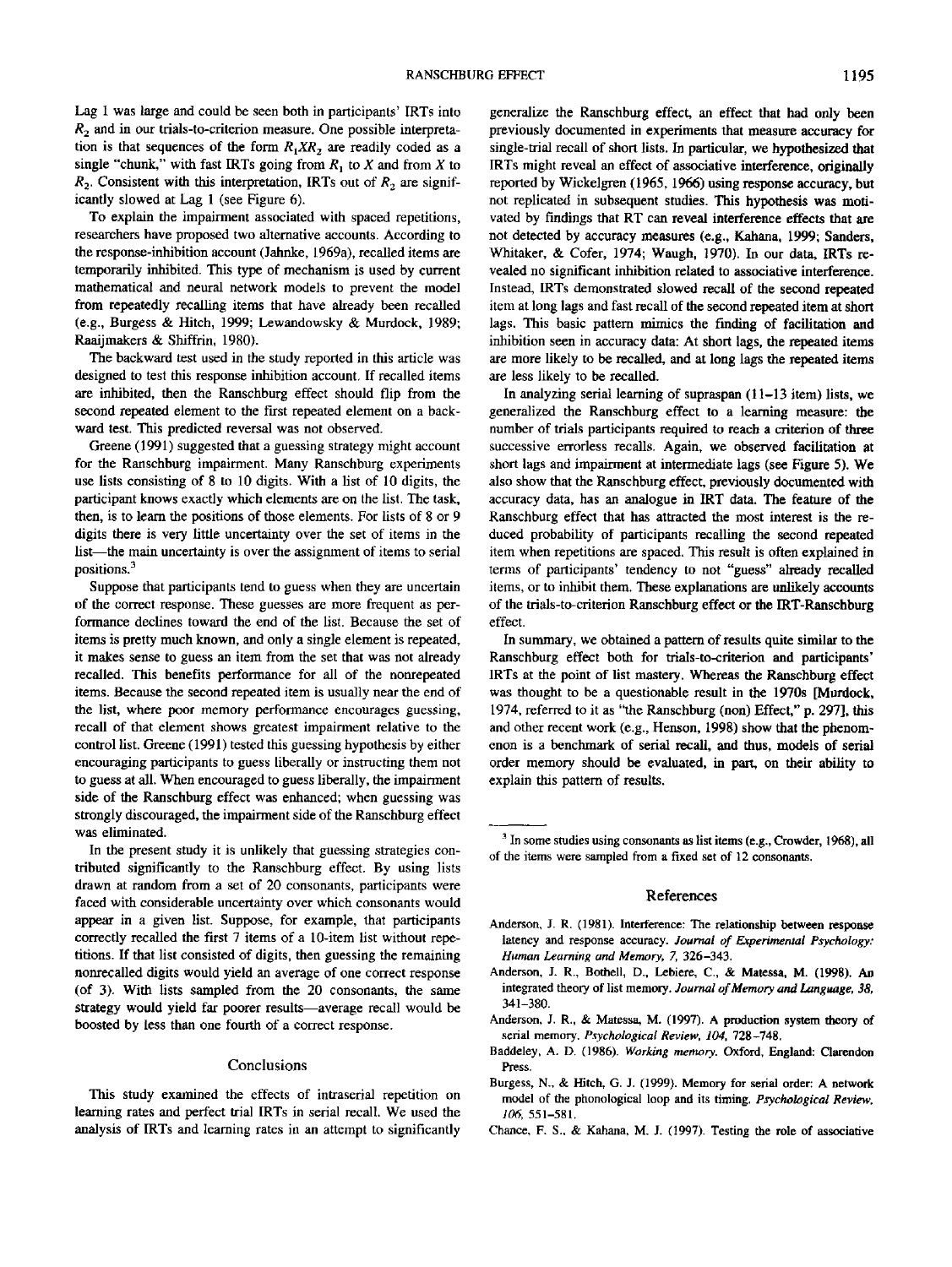Lag 1 was large and could be seen both in participants' IRTs into *R2* and in our trials-to-criterion measure. One possible interpretation is that sequences of the form  $R_1XR_2$  are readily coded as a single "chunk," with fast IRTs going from  $R_1$  to  $X$  and from  $X$  to  $R_2$ . Consistent with this interpretation, IRTs out of  $R_2$  are significantly slowed at Lag 1 (see Figure 6).

To explain the impairment associated with spaced repetitions, researchers have proposed two alternative accounts. According to the response-inhibition account (Jahnke, 1969a), recalled items are temporarily inhibited. This type of mechanism is used by current mathematical and neural network models to prevent the model from repeatedly recalling items that have already been recalled (e.g., Burgess & Hitch, 1999; Lewandowsky & Murdock, 1989; Raaijmakers & Shiffrin, 1980).

The backward test used in the study reported in this article was designed to test this response inhibition account. If recalled items are inhibited, then the Ranschburg effect should flip from the second repeated element to the first repeated element on a backward test. This predicted reversal was not observed.

Greene (1991) suggested that a guessing strategy might account for the Ranschburg impairment. Many Ranschburg experiments use lists consisting of 8 to 10 digits. With a list of 10 digits, the participant knows exactly which elements are on the list. The task, then, is to learn the positions of those elements. For lists of 8 or 9 digits there is very little uncertainty over the set of items in the list—the main uncertainty is over the assignment of items to serial positions.<sup>3</sup>

Suppose that participants tend to guess when they are uncertain of the correct response. These guesses are more frequent as performance declines toward the end of the list. Because the set of items is pretty much known, and only a single element is repeated, it makes sense to guess an item from the set that was not already recalled. This benefits performance for all of the nonrepeated items. Because the second repeated item is usually near the end of the list, where poor memory performance encourages guessing, recall of that element shows greatest impairment relative to the control list. Greene (1991) tested this guessing hypothesis by either encouraging participants to guess liberally or instructing them not to guess at all. When encouraged to guess liberally, the impairment side of the Ranschburg effect was enhanced; when guessing was strongly discouraged, the impairment side of the Ranschburg effect was eliminated.

In the present study it is unlikely that guessing strategies contributed significantly to the Ranschburg effect. By using lists drawn at random from a set of 20 consonants, participants were faced with considerable uncertainty over which consonants would appear in a given list. Suppose, for example, that participants correctly recalled the first 7 items of a 10-item list without repetitions. If that list consisted of digits, then guessing the remaining nonrecalled digits would yield an average of one correct response (of 3). With lists sampled from the 20 consonants, the same strategy would yield far poorer results—average recall would be boosted by less than one fourth of a correct response.

# Conclusions

This study examined the effects of intraserial repetition on learning rates and perfect trial IRTs in serial recall. We used the analysis of IRTs and learning rates in an attempt to significantly

generalize the Ranschburg effect, an effect that had only been previously documented in experiments that measure accuracy for single-trial recall of short lists. In particular, we hypothesized that IRTs might reveal an effect of associative interference, originally reported by Wickelgren (1965, 1966) using response accuracy, but not replicated in subsequent studies. This hypothesis was motivated by findings that RT can reveal interference effects that are not detected by accuracy measures (e.g., Kahana, 1999; Sanders, Whitaker, & Cofer, 1974; Waugh, 1970). In our data, IRTs revealed no significant inhibition related to associative interference. Instead, IRTs demonstrated slowed recall of the second repeated item at long lags and fast recall of the second repeated item at short lags. This basic pattern mimics the finding of facilitation and inhibition seen in accuracy data: At short lags, the repeated items are more likely to be recalled, and at long lags the repeated items are less likely to be recalled.

In analyzing serial learning of supraspan (11-13 item) lists, we generalized the Ranschburg effect to a learning measure: the number of trials participants required to reach a criterion of three successive errorless recalls. Again, we observed facilitation at short lags and impairment at intermediate lags (see Figure 5). We also show that the Ranschburg effect, previously documented with accuracy data, has an analogue in IRT data. The feature of the Ranschburg effect that has attracted the most interest is the reduced probability of participants recalling the second repeated item when repetitions are spaced. This result is often explained in terms of participants' tendency to not "guess" already recalled items, or to inhibit them. These explanations are unlikely accounts of the trials-to-criterion Ranschburg effect or the IRT-Ranschburg effect.

In summary, we obtained a pattern of results quite similar to the Ranschburg effect both for trials-to-criterion and participants' IRTs at the point of list mastery. Whereas the Ranschburg effect was thought to be a questionable result in the 1970s [Murdock, 1974, referred to it as "the Ranschburg (non) Effect," p. 297], this and other recent work (e.g., Henson, 1998) show that the phenomenon is a benchmark of serial recall, and thus, models of serial order memory should be evaluated, in part, on their ability to explain this pattern of results.

<sup>3</sup> In some studies using consonants as list items (e.g., Crowder, 1968), all of the items were sampled from a fixed set of 12 consonants.

#### References

- Anderson, J. R. (1981). Interference: The relationship between response latency and response accuracy. *Journal of Experimental Psychology: Human Learning and Memory, 7,* 326-343.
- Anderson, J. R., Bothell, D., Lebiere, C, & Matessa, M. (1998). An integrated theory of list memory. *Journal of Memory and Language, 38,* 341-380.
- Anderson, J. R., & Matessa, M. (1997). A production system theory of serial memory. *Psychological Review, 104,* 728-748.
- Baddeley, A. D. (1986). *Working memory.* Oxford, England: Clarendon Press.
- Burgess, N., & Hitch, G. J. (1999). Memory for serial order: A network model of the phonological loop and its timing. *Psychological Review, 106,* 551-581.
- Chance, F. S., & Kahana, M. J. (1997). Testing the role of associative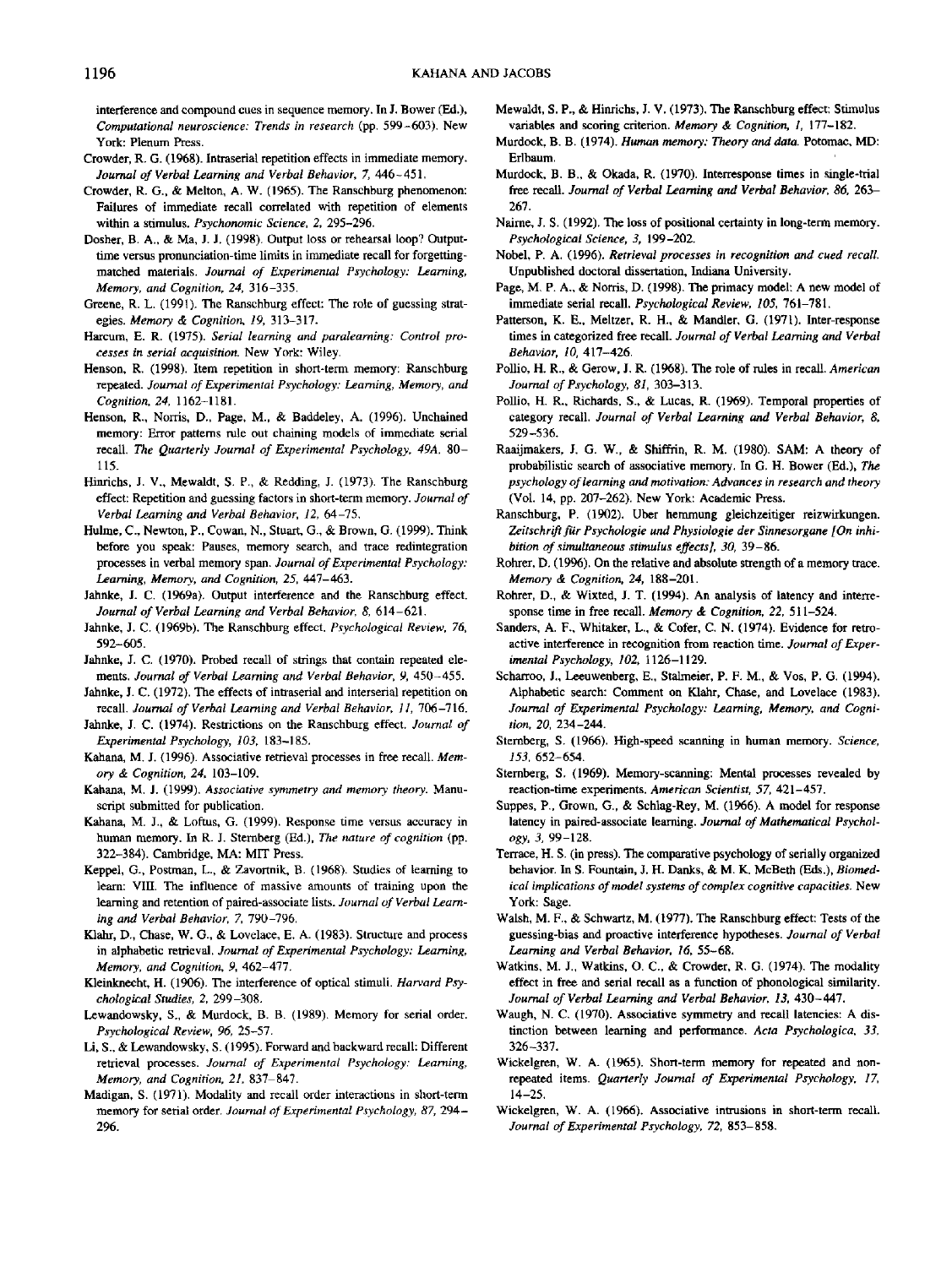interference and compound cues in sequence memory. In J. Bower (Ed.), *Computational neuroscience: Trends in research* (pp. 599-603). New York: Plenum Press.

- Crowder, R. G. (1968). Intraserial repetition effects in immediate memory. *Journal of Verbal Learning and Verbal Behavior, 7,* 446-451.
- Crowder, R. G., & Melton, A. W. (1965). The Ranschburg phenomenon: Failures of immediate recall correlated with repetition of elements within a stimulus. *Psychonomic Science, 2,* 295-296.
- Dosher, B. A., & Ma, J. J. (1998). Output loss or rehearsal loop? Outputtime versus pronunciation-time limits in immediate recall for forgettingmatched materials. *Journal of Experimental Psychology: Learning, Memory, and Cognition, 24,* 316-335.
- Greene, R. L. (1991). The Ranschburg effect: The role of guessing strategies. *Memory & Cognition, 19,* 313-317-
- Harcum, E. R. (1975). *Serial learning and paralearning: Control processes in serial acquisition.* New York: Wiley.
- Henson, R. (1998). Item repetition in short-term memory: Ranschburg repeated. *Journal of Experimental Psychology: Learning, Memory, and Cognition, 24,* 1162-1181.
- Henson, R., Norris, D., Page, M., & Baddeley, A. (1996). Unchained memory: Error patterns rule out chaining models of immediate serial recall. *The Quarterly Journal of Experimental Psychology, 49A.* 80- 115.
- Hinrichs, J. V., Mewaldt, S. P., & Redding, J. (1973). The Ranschburg effect: Repetition and guessing factors in short-term memory. *Journal of Verbal Learning and Verbal Behavior, 12,* 64-75,
- Hulme, C, Newton, P., Cowan, N., Stuart, G., *&* Brown, G. (1999). Think before you speak: Pauses, memory search, and trace redintegration processes in verbal memory span. *Journal of Experimental Psychology: Learning, Memory, and Cognition, 25,* 447-463.
- Jahnke, J. C. (1969a). Output interference and the Ranschburg effect. *Journal of Verbal Learning and Verbal Behavior, 8,* 614-621.
- Jahnke, J. C. (1969b). The Ranschburg effect. *Psychological Review, 76,* 592-605.
- Jahnke, J. C. (1970). Probed recall of strings that contain repeated elements, *Journal of Verbal Learning and Verbal Behavior, 9,* 450-455.
- Jahnke, J. C. (1972). The effects of intraserial and interserial repetition on recall. *Journal of Verbal Learning and Verbal Behavior, II,* 706-716.
- Jahnke, J. C. (1974). Restrictions on the Ranschburg effect. *Journal of Experimental Psychology, 103,* 183-185.
- Kahana, M. J. (1996). Associative retrieval processes in free recall. *Memory & Cognition, 24,* 103-109.
- Kahana, M. J. (1999). *Associative symmetry and memory theory.* Manuscript submitted for publication.
- Kahana, M. J., & Loftus, G. (1999). Response time versus accuracy in human memory. In R. J. Sternberg (Ed.), *The nature of cognition* (pp. 322-384). Cambridge, MA: MIT Press.
- Keppel, G., Postman, L., *&* Zavortnik, B. (1968). Studies of learning to learn: VIII. The influence of massive amounts of training upon the learning and retention of paired-associate lists. *Journal of Verbal Learning and Verbal Behavior. 7,* 790-796.
- Klahr, D., Chase, W. G., & Lovelace, E. A. (1983). Structure and process in alphabetic retrieval. *Journal of Experimental Psychology: Learning, Memory, and Cognition, 9,* 462-477.
- Kleinknecht, H. (1906). The interference of optical stimuli. *Harvard Psychological Studies, 2,* 299-308.
- Lewandowsky, S., & Murdock, B. B. (1989). Memory for serial order. *Psychological Review, 96,* 25-57.
- Li, S., & Lewandowsky, S. (1995). Forward and backward recall: Different retrieval processes. *Journal of Experimental Psychology: Learning, Memory, and Cognition, 21,* 837-847.
- Madigan, S. (1971). Modality and recall order interactions in short-term memory for serial order. *Journal of Experimental Psychology, 87,* 294- 296.
- Mewaldt, S. P., & Hinrichs, J. V. (1973). The Ranschburg effect: Stimulus variables and scoring criterion. *Memory & Cognition, I,* 177-182.
- Murdock, B. B. (1974). *Human memory: Theory and data.* Potomac, MD: Erlbaum.
- Murdock, B. B., & Okada, R. (1970). Interresponse times in single-trial free recall. *Journal of Verbal Learning and Verbal Behavior, 86,* 263- 267.
- Nairne, J. S. (1992). The loss of positional certainty in long-term memory. *Psychological Science, 3,* 199-202.
- Nobel, P. A. (1996). *Retrieval processes in recognition and cued recall.* Unpublished doctoral dissertation, Indiana University.
- Page, M- P. A., & Norris, D. (1998). The primacy model: A new model of immediate serial recall. *Psychological Review, 105,* 761-781.
- Patterson, K. E., Meltzer, R. H., & Mandler, G. (1971). Inter-response times in categorized free recall. *Journal of Verbal Learning and Verbal Behavior, 10,* 417-426.
- Pollio, H. R., *&* Gerow, J. R. (1968). The role of rules in recall. *American Journal of Psychology, 81,* 303-313.
- Pollio, H. R., Richards, S., & Lucas, R. (1969). Temporal properties of category recall. *Journal of Verbal Learning and Verbal Behavior, 8,* 529-536.
- Raaijmakers, J. G. W., & Shiffrin, R. M. (1980). SAM: A theory of probabilistic search of associative memory. In G. H. Bower (Ed.), *The psychology of learning and motivation: Advances in research and theory* (Vol. 14, pp. 207-262). New York: Academic Press.
- Ranschburg, P. (1902). Uber hemmung gleichzeitiger reizwirkungen. *Zeitschrift fiir Psychologic und Physiologic der Sinnesorgane [On inhibition of simultaneous stimulus effects], 30,* 39-86.
- Rohrer, D. (1996). On the relative and absolute strength of a memory trace. *Memory & Cognition, 24,* 188-201.
- Rohrer, D., & Wixted, J. T, (1994). An analysis of latency and interresponse time in free recall. *Memory &. Cognition, 22,* 511-524.
- Sanders, A. F., Whitaker, L., & Cofer, C. N. (1974). Evidence for retroactive interference in recognition from reaction time. *Journal of Experimental Psychology, 102,* 1126-1129.
- Scharroo, J., Leeuwenberg, E., Stalmeier, P. F. M., & Vos, P. G. (1994). Alphabetic search: Comment on Klahr, Chase, and Lovelace (1983). *Journal of Experimental Psychology: Learning, Memory, and Cognition. 20,* 234-244.
- Sternberg, S. (1966). High-speed scanning in human memory. *Science, 153,* 652-654.
- Sternberg, S. (1969). Memory-scanning: Mental processes revealed by reaction-time experiments. *American Scientist, 57,* 421-457.
- Suppes, P., Grown, G., & Schlag-Rey, M. (1966). A model for response latency in paired-associate learning. *Journal of Mathematical Psychology, 3,* 99-128.
- Terrace, H. S. (in press). The comparative psychology of serially organized behavior. In S. Fountain, J. H. Danks, & M. K. McBeth (Eds.), *Biomedical implications of model systems of complex cognitive capacities.* New York: Sage.
- Walsh, M. F., & Schwartz, M. (1977). The Ranschburg effect: Tests of the guessing-bias and proactive interference hypotheses. *Journal of Verbal Learning and Verbal Behavior, 16,* 55-68.
- Watkins, M. J., Watkins, O. C, & Crowder, R. G. (1974). The modality effect in free and serial recall as a function of phonological similarity. *Journal of Verbal Learning and Verbal Behavior, 13,* 430-447.
- Waugh, N. C. (1970). Associative symmetry and recall latencies: A distinction between learning and performance. *Acta Psychologica, 33,* 326-337.
- Wickelgren, W. A. (1965). Short-term memory for repeated and nonrepeated items. *Quarterly Journal of Experimental Psychology. 17,* 14-25.
- Wickelgren, W. A. (1966). Associative intrusions in short-term recall. *Journal of Experimental Psychology, 72,* 853-858.